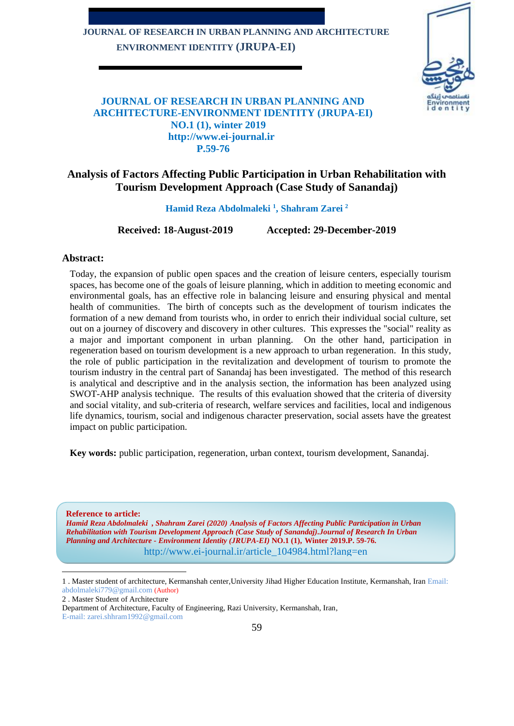# **JOURNAL OF RESEARCH IN URBAN PLANNING AND ARCHITECTURE ENVIRONMENT IDENTITY (JRUPA-EI)**



## **JOURNAL OF RESEARCH IN URBAN PLANNING AND ARCHITECTURE-ENVIRONMENT IDENTITY (JRUPA-EI) NO.1 (1), winter 2019 http://www.ei-journal.ir P.59-76**

# **Analysis of Factors Affecting Public Participation in Urban Rehabilitation with Tourism Development Approach (Case Study of Sanandaj)**

**Hamid Reza Abdolmaleki <sup>1</sup> , Shahram Zarei <sup>2</sup>**

**Received: 18-August-2019 Accepted: 29-December-2019**

#### **Abstract:**

Today, the expansion of public open spaces and the creation of leisure centers, especially tourism spaces, has become one of the goals of leisure planning, which in addition to meeting economic and environmental goals, has an effective role in balancing leisure and ensuring physical and mental health of communities. The birth of concepts such as the development of tourism indicates the formation of a new demand from tourists who, in order to enrich their individual social culture, set out on a journey of discovery and discovery in other cultures. This expresses the "social" reality as a major and important component in urban planning. On the other hand, participation in regeneration based on tourism development is a new approach to urban regeneration. In this study, the role of public participation in the revitalization and development of tourism to promote the tourism industry in the central part of Sanandaj has been investigated. The method of this research is analytical and descriptive and in the analysis section, the information has been analyzed using SWOT-AHP analysis technique. The results of this evaluation showed that the criteria of diversity and social vitality, and sub-criteria of research, welfare services and facilities, local and indigenous life dynamics, tourism, social and indigenous character preservation, social assets have the greatest impact on public participation.

**Key words:** public participation, regeneration, urban context, tourism development, Sanandaj.

**Reference to article:** *Hamid Reza Abdolmaleki , Shahram Zarei (2020) Analysis of Factors Affecting Public Participation in Urban Rehabilitation with Tourism Development Approach (Case Study of Sanandaj).Journal of Research In Urban Planning and Architecture - Environment Identity (JRUPA-EI)* **NO.1 (1), Winter 2019.P. 59-76.** http://www.ei-journal.ir/article\_104984.html?lang=en

2 . Master Student of Architecture

E-mail: zarei.shhram1992@gmail.com

<sup>1</sup> . Master student of architecture, Kermanshah center,University Jihad Higher Education Institute, Kermanshah, Iran Email: abdolmaleki779@gmail.com (Author)

Department of Architecture, Faculty of Engineering, Razi University, Kermanshah, Iran,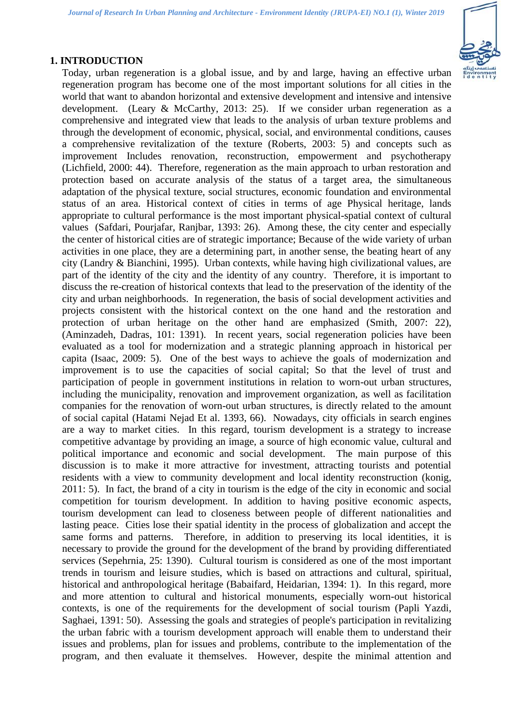## **1. INTRODUCTION**

Today, urban regeneration is a global issue, and by and large, having an effective urban regeneration program has become one of the most important solutions for all cities in the world that want to abandon horizontal and extensive development and intensive and intensive development. (Leary & McCarthy, 2013: 25). If we consider urban regeneration as a comprehensive and integrated view that leads to the analysis of urban texture problems and through the development of economic, physical, social, and environmental conditions, causes a comprehensive revitalization of the texture (Roberts, 2003: 5) and concepts such as improvement Includes renovation, reconstruction, empowerment and psychotherapy (Lichfield, 2000: 44). Therefore, regeneration as the main approach to urban restoration and protection based on accurate analysis of the status of a target area, the simultaneous adaptation of the physical texture, social structures, economic foundation and environmental status of an area. Historical context of cities in terms of age Physical heritage, lands appropriate to cultural performance is the most important physical-spatial context of cultural values (Safdari, Pourjafar, Ranjbar, 1393: 26). Among these, the city center and especially the center of historical cities are of strategic importance; Because of the wide variety of urban activities in one place, they are a determining part, in another sense, the beating heart of any city (Landry & Bianchini, 1995). Urban contexts, while having high civilizational values, are part of the identity of the city and the identity of any country. Therefore, it is important to discuss the re-creation of historical contexts that lead to the preservation of the identity of the city and urban neighborhoods. In regeneration, the basis of social development activities and projects consistent with the historical context on the one hand and the restoration and protection of urban heritage on the other hand are emphasized (Smith, 2007: 22), (Aminzadeh, Dadras, 101: 1391). In recent years, social regeneration policies have been evaluated as a tool for modernization and a strategic planning approach in historical per capita (Isaac, 2009: 5). One of the best ways to achieve the goals of modernization and improvement is to use the capacities of social capital; So that the level of trust and participation of people in government institutions in relation to worn-out urban structures, including the municipality, renovation and improvement organization, as well as facilitation companies for the renovation of worn-out urban structures, is directly related to the amount of social capital (Hatami Nejad Et al. 1393, 66). Nowadays, city officials in search engines are a way to market cities. In this regard, tourism development is a strategy to increase competitive advantage by providing an image, a source of high economic value, cultural and political importance and economic and social development. The main purpose of this discussion is to make it more attractive for investment, attracting tourists and potential residents with a view to community development and local identity reconstruction (konig, 2011: 5). In fact, the brand of a city in tourism is the edge of the city in economic and social competition for tourism development. In addition to having positive economic aspects, tourism development can lead to closeness between people of different nationalities and lasting peace. Cities lose their spatial identity in the process of globalization and accept the same forms and patterns. Therefore, in addition to preserving its local identities, it is necessary to provide the ground for the development of the brand by providing differentiated services (Sepehrnia, 25: 1390). Cultural tourism is considered as one of the most important trends in tourism and leisure studies, which is based on attractions and cultural, spiritual, historical and anthropological heritage (Babaifard, Heidarian, 1394: 1). In this regard, more and more attention to cultural and historical monuments, especially worn-out historical contexts, is one of the requirements for the development of social tourism (Papli Yazdi, Saghaei, 1391: 50). Assessing the goals and strategies of people's participation in revitalizing the urban fabric with a tourism development approach will enable them to understand their issues and problems, plan for issues and problems, contribute to the implementation of the program, and then evaluate it themselves. However, despite the minimal attention and

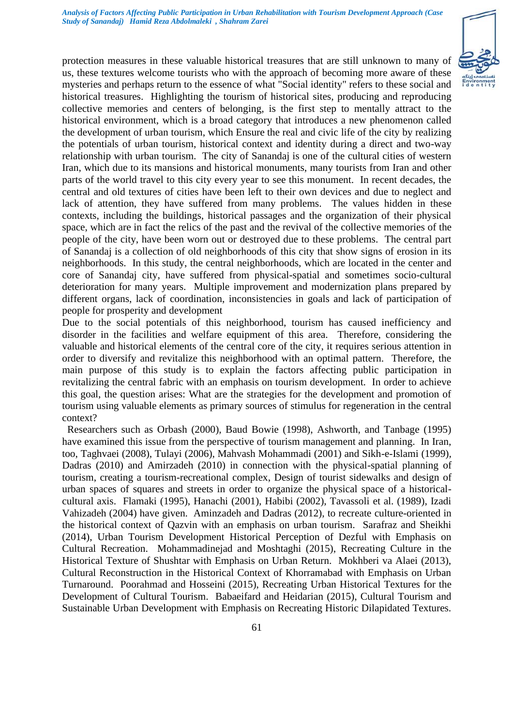

protection measures in these valuable historical treasures that are still unknown to many of us, these textures welcome tourists who with the approach of becoming more aware of these mysteries and perhaps return to the essence of what "Social identity" refers to these social and historical treasures. Highlighting the tourism of historical sites, producing and reproducing collective memories and centers of belonging, is the first step to mentally attract to the historical environment, which is a broad category that introduces a new phenomenon called the development of urban tourism, which Ensure the real and civic life of the city by realizing the potentials of urban tourism, historical context and identity during a direct and two-way relationship with urban tourism. The city of Sanandaj is one of the cultural cities of western Iran, which due to its mansions and historical monuments, many tourists from Iran and other parts of the world travel to this city every year to see this monument. In recent decades, the central and old textures of cities have been left to their own devices and due to neglect and lack of attention, they have suffered from many problems. The values hidden in these contexts, including the buildings, historical passages and the organization of their physical space, which are in fact the relics of the past and the revival of the collective memories of the people of the city, have been worn out or destroyed due to these problems. The central part of Sanandaj is a collection of old neighborhoods of this city that show signs of erosion in its neighborhoods. In this study, the central neighborhoods, which are located in the center and core of Sanandaj city, have suffered from physical-spatial and sometimes socio-cultural deterioration for many years. Multiple improvement and modernization plans prepared by different organs, lack of coordination, inconsistencies in goals and lack of participation of people for prosperity and development

Due to the social potentials of this neighborhood, tourism has caused inefficiency and disorder in the facilities and welfare equipment of this area. Therefore, considering the valuable and historical elements of the central core of the city, it requires serious attention in order to diversify and revitalize this neighborhood with an optimal pattern. Therefore, the main purpose of this study is to explain the factors affecting public participation in revitalizing the central fabric with an emphasis on tourism development. In order to achieve this goal, the question arises: What are the strategies for the development and promotion of tourism using valuable elements as primary sources of stimulus for regeneration in the central context?

 Researchers such as Orbash (2000), Baud Bowie (1998), Ashworth, and Tanbage (1995) have examined this issue from the perspective of tourism management and planning. In Iran, too, Taghvaei (2008), Tulayi (2006), Mahvash Mohammadi (2001) and Sikh-e-Islami (1999), Dadras (2010) and Amirzadeh (2010) in connection with the physical-spatial planning of tourism, creating a tourism-recreational complex, Design of tourist sidewalks and design of urban spaces of squares and streets in order to organize the physical space of a historicalcultural axis. Flamaki (1995), Hanachi (2001), Habibi (2002), Tavassoli et al. (1989), Izadi Vahizadeh (2004) have given. Aminzadeh and Dadras (2012), to recreate culture-oriented in the historical context of Qazvin with an emphasis on urban tourism. Sarafraz and Sheikhi (2014), Urban Tourism Development Historical Perception of Dezful with Emphasis on Cultural Recreation. Mohammadinejad and Moshtaghi (2015), Recreating Culture in the Historical Texture of Shushtar with Emphasis on Urban Return. Mokhberi va Alaei (2013), Cultural Reconstruction in the Historical Context of Khorramabad with Emphasis on Urban Turnaround. Poorahmad and Hosseini (2015), Recreating Urban Historical Textures for the Development of Cultural Tourism. Babaeifard and Heidarian (2015), Cultural Tourism and Sustainable Urban Development with Emphasis on Recreating Historic Dilapidated Textures.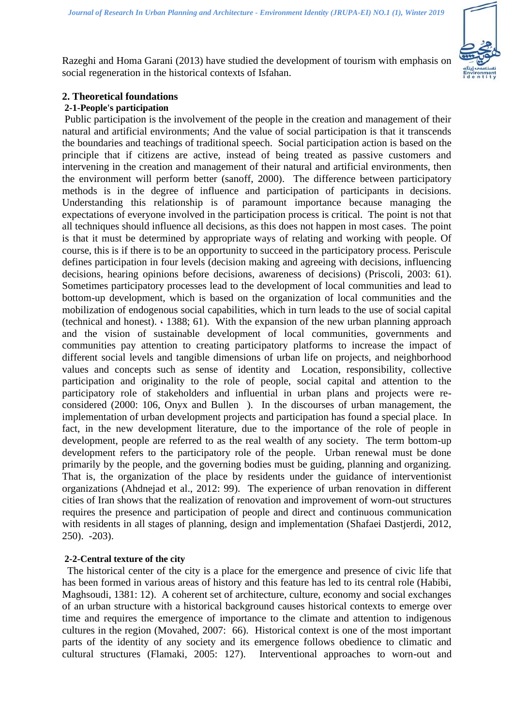

Razeghi and Homa Garani (2013) have studied the development of tourism with emphasis on social regeneration in the historical contexts of Isfahan.

## **2. Theoretical foundations**

### **2-1-People's participation**

Public participation is the involvement of the people in the creation and management of their natural and artificial environments; And the value of social participation is that it transcends the boundaries and teachings of traditional speech. Social participation action is based on the principle that if citizens are active, instead of being treated as passive customers and intervening in the creation and management of their natural and artificial environments, then the environment will perform better (sanoff, 2000). The difference between participatory methods is in the degree of influence and participation of participants in decisions. Understanding this relationship is of paramount importance because managing the expectations of everyone involved in the participation process is critical. The point is not that all techniques should influence all decisions, as this does not happen in most cases. The point is that it must be determined by appropriate ways of relating and working with people. Of course, this is if there is to be an opportunity to succeed in the participatory process. Periscule defines participation in four levels (decision making and agreeing with decisions, influencing decisions, hearing opinions before decisions, awareness of decisions) (Priscoli, 2003: 61). Sometimes participatory processes lead to the development of local communities and lead to bottom-up development, which is based on the organization of local communities and the mobilization of endogenous social capabilities, which in turn leads to the use of social capital (technical and honest). ، 1388; 61). With the expansion of the new urban planning approach and the vision of sustainable development of local communities, governments and communities pay attention to creating participatory platforms to increase the impact of different social levels and tangible dimensions of urban life on projects, and neighborhood values and concepts such as sense of identity and Location, responsibility, collective participation and originality to the role of people, social capital and attention to the participatory role of stakeholders and influential in urban plans and projects were reconsidered (2000: 106, Onyx and Bullen ). In the discourses of urban management, the implementation of urban development projects and participation has found a special place. In fact, in the new development literature, due to the importance of the role of people in development, people are referred to as the real wealth of any society. The term bottom-up development refers to the participatory role of the people. Urban renewal must be done primarily by the people, and the governing bodies must be guiding, planning and organizing. That is, the organization of the place by residents under the guidance of interventionist organizations (Ahdnejad et al., 2012: 99). The experience of urban renovation in different cities of Iran shows that the realization of renovation and improvement of worn-out structures requires the presence and participation of people and direct and continuous communication with residents in all stages of planning, design and implementation (Shafaei Dastjerdi, 2012, 250). -203).

## **2-2-Central texture of the city**

 The historical center of the city is a place for the emergence and presence of civic life that has been formed in various areas of history and this feature has led to its central role (Habibi, Maghsoudi, 1381: 12). A coherent set of architecture, culture, economy and social exchanges of an urban structure with a historical background causes historical contexts to emerge over time and requires the emergence of importance to the climate and attention to indigenous cultures in the region (Movahed, 2007: 66). Historical context is one of the most important parts of the identity of any society and its emergence follows obedience to climatic and cultural structures (Flamaki, 2005: 127). Interventional approaches to worn-out and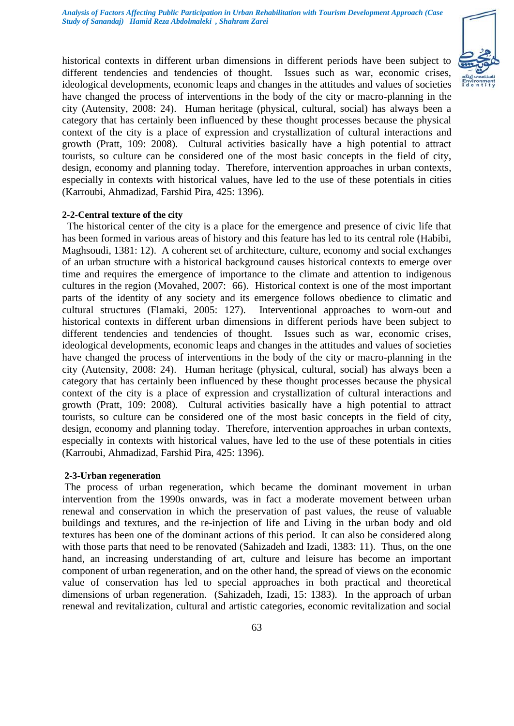

historical contexts in different urban dimensions in different periods have been subject to different tendencies and tendencies of thought. Issues such as war, economic crises, ideological developments, economic leaps and changes in the attitudes and values of societies have changed the process of interventions in the body of the city or macro-planning in the city (Autensity, 2008: 24). Human heritage (physical, cultural, social) has always been a category that has certainly been influenced by these thought processes because the physical context of the city is a place of expression and crystallization of cultural interactions and growth (Pratt, 109: 2008). Cultural activities basically have a high potential to attract tourists, so culture can be considered one of the most basic concepts in the field of city, design, economy and planning today. Therefore, intervention approaches in urban contexts, especially in contexts with historical values, have led to the use of these potentials in cities (Karroubi, Ahmadizad, Farshid Pira, 425: 1396).

#### **2-2-Central texture of the city**

 The historical center of the city is a place for the emergence and presence of civic life that has been formed in various areas of history and this feature has led to its central role (Habibi, Maghsoudi, 1381: 12). A coherent set of architecture, culture, economy and social exchanges of an urban structure with a historical background causes historical contexts to emerge over time and requires the emergence of importance to the climate and attention to indigenous cultures in the region (Movahed, 2007: 66). Historical context is one of the most important parts of the identity of any society and its emergence follows obedience to climatic and cultural structures (Flamaki, 2005: 127). Interventional approaches to worn-out and historical contexts in different urban dimensions in different periods have been subject to different tendencies and tendencies of thought. Issues such as war, economic crises, ideological developments, economic leaps and changes in the attitudes and values of societies have changed the process of interventions in the body of the city or macro-planning in the city (Autensity, 2008: 24). Human heritage (physical, cultural, social) has always been a category that has certainly been influenced by these thought processes because the physical context of the city is a place of expression and crystallization of cultural interactions and growth (Pratt, 109: 2008). Cultural activities basically have a high potential to attract tourists, so culture can be considered one of the most basic concepts in the field of city, design, economy and planning today. Therefore, intervention approaches in urban contexts, especially in contexts with historical values, have led to the use of these potentials in cities (Karroubi, Ahmadizad, Farshid Pira, 425: 1396).

#### **2-3-Urban regeneration**

The process of urban regeneration, which became the dominant movement in urban intervention from the 1990s onwards, was in fact a moderate movement between urban renewal and conservation in which the preservation of past values, the reuse of valuable buildings and textures, and the re-injection of life and Living in the urban body and old textures has been one of the dominant actions of this period. It can also be considered along with those parts that need to be renovated (Sahizadeh and Izadi, 1383: 11). Thus, on the one hand, an increasing understanding of art, culture and leisure has become an important component of urban regeneration, and on the other hand, the spread of views on the economic value of conservation has led to special approaches in both practical and theoretical dimensions of urban regeneration. (Sahizadeh, Izadi, 15: 1383). In the approach of urban renewal and revitalization, cultural and artistic categories, economic revitalization and social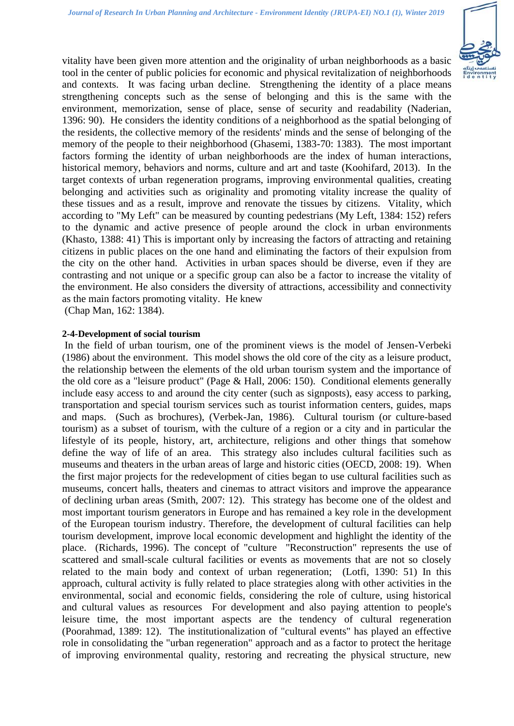

vitality have been given more attention and the originality of urban neighborhoods as a basic tool in the center of public policies for economic and physical revitalization of neighborhoods and contexts. It was facing urban decline. Strengthening the identity of a place means strengthening concepts such as the sense of belonging and this is the same with the environment, memorization, sense of place, sense of security and readability (Naderian, 1396: 90). He considers the identity conditions of a neighborhood as the spatial belonging of the residents, the collective memory of the residents' minds and the sense of belonging of the memory of the people to their neighborhood (Ghasemi, 1383-70: 1383). The most important factors forming the identity of urban neighborhoods are the index of human interactions, historical memory, behaviors and norms, culture and art and taste (Koohifard, 2013). In the target contexts of urban regeneration programs, improving environmental qualities, creating belonging and activities such as originality and promoting vitality increase the quality of these tissues and as a result, improve and renovate the tissues by citizens. Vitality, which according to "My Left" can be measured by counting pedestrians (My Left, 1384: 152) refers to the dynamic and active presence of people around the clock in urban environments (Khasto, 1388: 41) This is important only by increasing the factors of attracting and retaining citizens in public places on the one hand and eliminating the factors of their expulsion from the city on the other hand. Activities in urban spaces should be diverse, even if they are contrasting and not unique or a specific group can also be a factor to increase the vitality of the environment. He also considers the diversity of attractions, accessibility and connectivity as the main factors promoting vitality. He knew

(Chap Man, 162: 1384).

#### **2-4-Development of social tourism**

In the field of urban tourism, one of the prominent views is the model of Jensen-Verbeki (1986) about the environment. This model shows the old core of the city as a leisure product, the relationship between the elements of the old urban tourism system and the importance of the old core as a "leisure product" (Page & Hall, 2006: 150). Conditional elements generally include easy access to and around the city center (such as signposts), easy access to parking, transportation and special tourism services such as tourist information centers, guides, maps and maps. (Such as brochures), (Verbek-Jan, 1986). Cultural tourism (or culture-based tourism) as a subset of tourism, with the culture of a region or a city and in particular the lifestyle of its people, history, art, architecture, religions and other things that somehow define the way of life of an area. This strategy also includes cultural facilities such as museums and theaters in the urban areas of large and historic cities (OECD, 2008: 19). When the first major projects for the redevelopment of cities began to use cultural facilities such as museums, concert halls, theaters and cinemas to attract visitors and improve the appearance of declining urban areas (Smith, 2007: 12). This strategy has become one of the oldest and most important tourism generators in Europe and has remained a key role in the development of the European tourism industry. Therefore, the development of cultural facilities can help tourism development, improve local economic development and highlight the identity of the place. (Richards, 1996). The concept of "culture "Reconstruction" represents the use of scattered and small-scale cultural facilities or events as movements that are not so closely related to the main body and context of urban regeneration; (Lotfi, 1390: 51) In this approach, cultural activity is fully related to place strategies along with other activities in the environmental, social and economic fields, considering the role of culture, using historical and cultural values as resources For development and also paying attention to people's leisure time, the most important aspects are the tendency of cultural regeneration (Poorahmad, 1389: 12). The institutionalization of "cultural events" has played an effective role in consolidating the "urban regeneration" approach and as a factor to protect the heritage of improving environmental quality, restoring and recreating the physical structure, new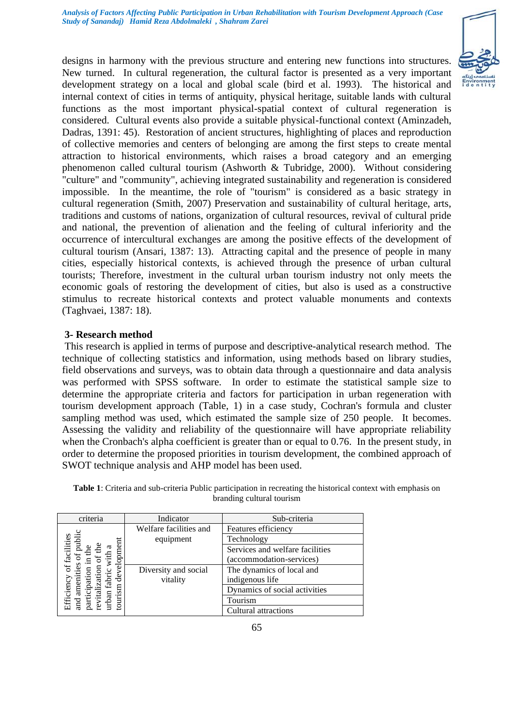

designs in harmony with the previous structure and entering new functions into structures. New turned. In cultural regeneration, the cultural factor is presented as a very important development strategy on a local and global scale (bird et al. 1993). The historical and internal context of cities in terms of antiquity, physical heritage, suitable lands with cultural functions as the most important physical-spatial context of cultural regeneration is considered. Cultural events also provide a suitable physical-functional context (Aminzadeh, Dadras, 1391: 45). Restoration of ancient structures, highlighting of places and reproduction of collective memories and centers of belonging are among the first steps to create mental attraction to historical environments, which raises a broad category and an emerging phenomenon called cultural tourism (Ashworth & Tubridge, 2000). Without considering "culture" and "community", achieving integrated sustainability and regeneration is considered impossible. In the meantime, the role of "tourism" is considered as a basic strategy in cultural regeneration (Smith, 2007) Preservation and sustainability of cultural heritage, arts, traditions and customs of nations, organization of cultural resources, revival of cultural pride and national, the prevention of alienation and the feeling of cultural inferiority and the occurrence of intercultural exchanges are among the positive effects of the development of cultural tourism (Ansari, 1387: 13). Attracting capital and the presence of people in many cities, especially historical contexts, is achieved through the presence of urban cultural tourists; Therefore, investment in the cultural urban tourism industry not only meets the economic goals of restoring the development of cities, but also is used as a constructive stimulus to recreate historical contexts and protect valuable monuments and contexts (Taghvaei, 1387: 18).

## **3- Research method**

This research is applied in terms of purpose and descriptive-analytical research method. The technique of collecting statistics and information, using methods based on library studies, field observations and surveys, was to obtain data through a questionnaire and data analysis was performed with SPSS software. In order to estimate the statistical sample size to determine the appropriate criteria and factors for participation in urban regeneration with tourism development approach (Table, 1) in a case study, Cochran's formula and cluster sampling method was used, which estimated the sample size of 250 people. It becomes. Assessing the validity and reliability of the questionnaire will have appropriate reliability when the Cronbach's alpha coefficient is greater than or equal to 0.76. In the present study, in order to determine the proposed priorities in tourism development, the combined approach of SWOT technique analysis and AHP model has been used.

| criteria                       | Indicator              | Sub-criteria                    |
|--------------------------------|------------------------|---------------------------------|
|                                | Welfare facilities and | Features efficiency             |
| public<br>of facilities        | equipment              | Technology                      |
| ದ                              |                        | Services and welfare facilities |
|                                |                        | (accommodation-services)        |
| development<br>es.<br>ation    | Diversity and social   | The dynamics of local and       |
| fabric                         | vitality               | indigenous life                 |
| Efficiency<br>ameni<br>tourism |                        | Dynamics of social activities   |
| urban<br>and                   |                        | Tourism                         |
|                                |                        | Cultural attractions            |

**Table 1**: Criteria and sub-criteria Public participation in recreating the historical context with emphasis on branding cultural tourism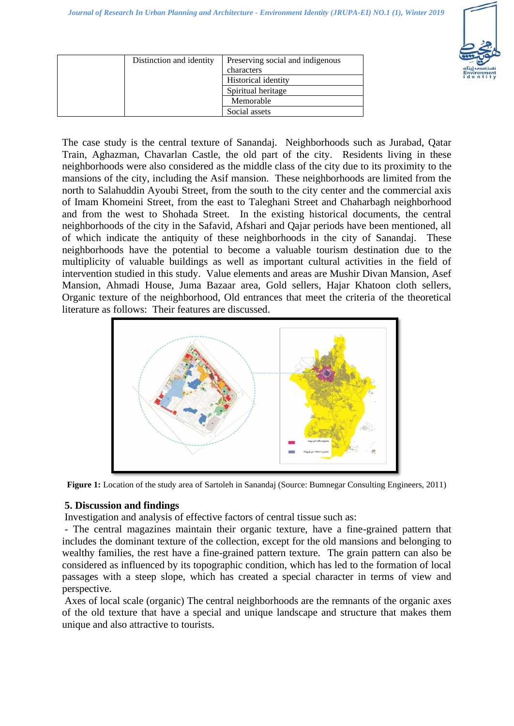

| Distinction and identity | Preserving social and indigenous<br>characters |
|--------------------------|------------------------------------------------|
|                          | <b>Historical identity</b>                     |
|                          | Spiritual heritage                             |
|                          | Memorable                                      |
|                          | Social assets                                  |

The case study is the central texture of Sanandaj. Neighborhoods such as Jurabad, Qatar Train, Aghazman, Chavarlan Castle, the old part of the city. Residents living in these neighborhoods were also considered as the middle class of the city due to its proximity to the mansions of the city, including the Asif mansion. These neighborhoods are limited from the north to Salahuddin Ayoubi Street, from the south to the city center and the commercial axis of Imam Khomeini Street, from the east to Taleghani Street and Chaharbagh neighborhood and from the west to Shohada Street. In the existing historical documents, the central neighborhoods of the city in the Safavid, Afshari and Qajar periods have been mentioned, all of which indicate the antiquity of these neighborhoods in the city of Sanandaj. These neighborhoods have the potential to become a valuable tourism destination due to the multiplicity of valuable buildings as well as important cultural activities in the field of intervention studied in this study. Value elements and areas are Mushir Divan Mansion, Asef Mansion, Ahmadi House, Juma Bazaar area, Gold sellers, Hajar Khatoon cloth sellers, Organic texture of the neighborhood, Old entrances that meet the criteria of the theoretical literature as follows: Their features are discussed.



**Figure 1:** Location of the study area of Sartoleh in Sanandaj (Source: Bumnegar Consulting Engineers, 2011)

## **5. Discussion and findings**

Investigation and analysis of effective factors of central tissue such as:

- The central magazines maintain their organic texture, have a fine-grained pattern that includes the dominant texture of the collection, except for the old mansions and belonging to wealthy families, the rest have a fine-grained pattern texture. The grain pattern can also be considered as influenced by its topographic condition, which has led to the formation of local passages with a steep slope, which has created a special character in terms of view and perspective.

Axes of local scale (organic) The central neighborhoods are the remnants of the organic axes of the old texture that have a special and unique landscape and structure that makes them unique and also attractive to tourists.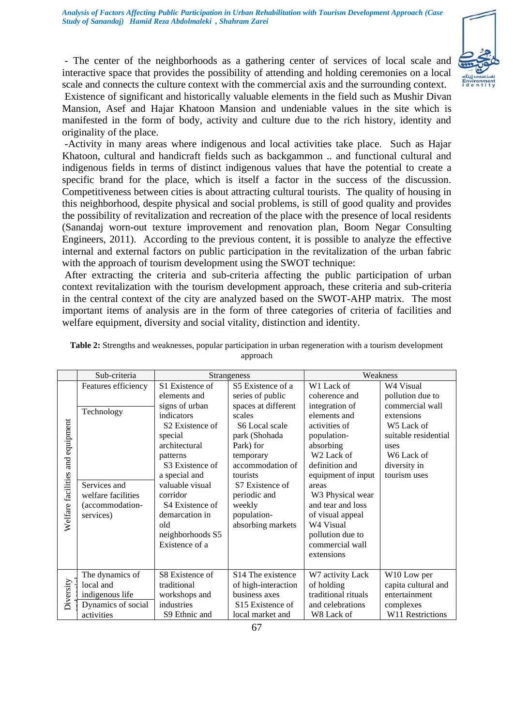

- The center of the neighborhoods as a gathering center of services of local scale and interactive space that provides the possibility of attending and holding ceremonies on a local scale and connects the culture context with the commercial axis and the surrounding context. Existence of significant and historically valuable elements in the field such as Mushir Divan Mansion, Asef and Hajar Khatoon Mansion and undeniable values in the site which is

manifested in the form of body, activity and culture due to the rich history, identity and originality of the place.

-Activity in many areas where indigenous and local activities take place. Such as Hajar Khatoon, cultural and handicraft fields such as backgammon .. and functional cultural and indigenous fields in terms of distinct indigenous values that have the potential to create a specific brand for the place, which is itself a factor in the success of the discussion. Competitiveness between cities is about attracting cultural tourists. The quality of housing in this neighborhood, despite physical and social problems, is still of good quality and provides the possibility of revitalization and recreation of the place with the presence of local residents (Sanandaj worn-out texture improvement and renovation plan, Boom Negar Consulting Engineers, 2011). According to the previous content, it is possible to analyze the effective internal and external factors on public participation in the revitalization of the urban fabric with the approach of tourism development using the SWOT technique:

After extracting the criteria and sub-criteria affecting the public participation of urban context revitalization with the tourism development approach, these criteria and sub-criteria in the central context of the city are analyzed based on the SWOT-AHP matrix. The most important items of analysis are in the form of three categories of criteria of facilities and welfare equipment, diversity and social vitality, distinction and identity.

|                                     | Sub-criteria                                                                        |                                                                                                                                                                                                                                                                                      | <b>Strangeness</b>                                                                                                                                                                                                              | Weakness                                                                                                                                                                                                                                                                                                           |                                                                                                                                                           |  |
|-------------------------------------|-------------------------------------------------------------------------------------|--------------------------------------------------------------------------------------------------------------------------------------------------------------------------------------------------------------------------------------------------------------------------------------|---------------------------------------------------------------------------------------------------------------------------------------------------------------------------------------------------------------------------------|--------------------------------------------------------------------------------------------------------------------------------------------------------------------------------------------------------------------------------------------------------------------------------------------------------------------|-----------------------------------------------------------------------------------------------------------------------------------------------------------|--|
|                                     | Features efficiency                                                                 | S1 Existence of                                                                                                                                                                                                                                                                      | S5 Existence of a                                                                                                                                                                                                               | W1 Lack of                                                                                                                                                                                                                                                                                                         | W4 Visual                                                                                                                                                 |  |
| and equipment<br>Welfare facilities | Technology<br>Services and<br>welfare facilities<br>(accommodation-<br>services)    | elements and<br>signs of urban<br>indicators<br>S <sub>2</sub> Existence of<br>special<br>architectural<br>patterns<br>S <sub>3</sub> Existence of<br>a special and<br>valuable visual<br>corridor<br>S4 Existence of<br>demarcation in<br>old<br>neighborhoods S5<br>Existence of a | series of public<br>spaces at different<br>scales<br>S6 Local scale<br>park (Shohada<br>Park) for<br>temporary<br>accommodation of<br>tourists<br>S7 Existence of<br>periodic and<br>weekly<br>population-<br>absorbing markets | coherence and<br>integration of<br>elements and<br>activities of<br>population-<br>absorbing<br>W <sub>2</sub> Lack of<br>definition and<br>equipment of input<br>areas<br>W3 Physical wear<br>and tear and loss<br>of visual appeal<br>W <sub>4</sub> Visual<br>pollution due to<br>commercial wall<br>extensions | pollution due to<br>commercial wall<br>extensions<br>W <sub>5</sub> Lack of<br>suitable residential<br>uses<br>W6 Lack of<br>diversity in<br>tourism uses |  |
| Diversity                           | The dynamics of<br>local and<br>indigenous life<br>Dynamics of social<br>activities | S8 Existence of<br>traditional<br>workshops and<br>industries<br>S9 Ethnic and                                                                                                                                                                                                       | S <sub>14</sub> The existence<br>of high-interaction<br>business axes<br>S <sub>15</sub> Existence of<br>local market and                                                                                                       | W7 activity Lack<br>of holding<br>traditional rituals<br>and celebrations<br>W8 Lack of                                                                                                                                                                                                                            | W10 Low per<br>capita cultural and<br>entertainment<br>complexes<br>W11 Restrictions                                                                      |  |

| Table 2: Strengths and weaknesses, popular participation in urban regeneration with a tourism development |          |  |
|-----------------------------------------------------------------------------------------------------------|----------|--|
|                                                                                                           | approach |  |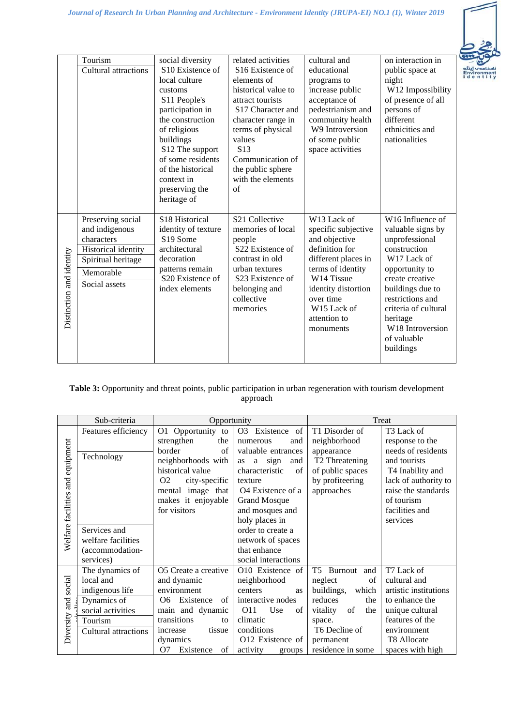

|                          | Tourism<br>Cultural attractions                                                                                              | social diversity<br>S <sub>10</sub> Existence of<br>local culture<br>customs<br>S11 People's<br>participation in<br>the construction<br>of religious<br>buildings<br>S12 The support<br>of some residents<br>of the historical<br>context in<br>preserving the<br>heritage of | related activities<br>S <sub>16</sub> Existence of<br>elements of<br>historical value to<br>attract tourists<br>S17 Character and<br>character range in<br>terms of physical<br>values<br>S <sub>13</sub><br>Communication of<br>the public sphere<br>with the elements<br>$\alpha$ f | cultural and<br>educational<br>programs to<br>increase public<br>acceptance of<br>pedestrianism and<br>community health<br>W9 Introversion<br>of some public<br>space activities                                                        | on interaction in<br>public space at<br>night<br>W12 Impossibility<br>of presence of all<br>persons of<br>different<br>ethnicities and<br>nationalities                                                                                                                         |
|--------------------------|------------------------------------------------------------------------------------------------------------------------------|-------------------------------------------------------------------------------------------------------------------------------------------------------------------------------------------------------------------------------------------------------------------------------|---------------------------------------------------------------------------------------------------------------------------------------------------------------------------------------------------------------------------------------------------------------------------------------|-----------------------------------------------------------------------------------------------------------------------------------------------------------------------------------------------------------------------------------------|---------------------------------------------------------------------------------------------------------------------------------------------------------------------------------------------------------------------------------------------------------------------------------|
| Distinction and identity | Preserving social<br>and indigenous<br>characters<br>Historical identity<br>Spiritual heritage<br>Memorable<br>Social assets | S18 Historical<br>identity of texture<br>S19 Some<br>architectural<br>decoration<br>patterns remain<br>S20 Existence of<br>index elements                                                                                                                                     | S <sub>21</sub> Collective<br>memories of local<br>people<br>S22 Existence of<br>contrast in old<br>urban textures<br>S <sub>23</sub> Existence of<br>belonging and<br>collective<br>memories                                                                                         | W <sub>13</sub> Lack of<br>specific subjective<br>and objective<br>definition for<br>different places in<br>terms of identity<br>W14 Tissue<br>identity distortion<br>over time<br>W <sub>15</sub> Lack of<br>attention to<br>monuments | W <sub>16</sub> Influence of<br>valuable signs by<br>unprofessional<br>construction<br>W <sub>17</sub> Lack of<br>opportunity to<br>create creative<br>buildings due to<br>restrictions and<br>criteria of cultural<br>heritage<br>W18 Introversion<br>of valuable<br>buildings |

### **Table 3:** Opportunity and threat points, public participation in urban regeneration with tourism development approach

|                    | Sub-criteria         | Opportunity                     |                                   | Treat                      |                              |  |
|--------------------|----------------------|---------------------------------|-----------------------------------|----------------------------|------------------------------|--|
|                    | Features efficiency  | O1 Opportunity to               | O <sub>3</sub><br>of<br>Existence | T1 Disorder of             | T <sub>3</sub> Lack of       |  |
|                    |                      | strengthen<br>the               | numerous<br>and                   | neighborhood               | response to the              |  |
|                    |                      | border<br>of                    | valuable entrances                | appearance                 | needs of residents           |  |
|                    | Technology           | neighborhoods with              | sign<br>and<br>a<br>as            | T <sub>2</sub> Threatening | and tourists                 |  |
| and equipment      |                      | historical value                | characteristic<br>of              | of public spaces           | T <sub>4</sub> Inability and |  |
|                    |                      | O <sub>2</sub><br>city-specific | texture                           | by profiteering            | lack of authority to         |  |
|                    |                      | mental image that               | O <sub>4</sub> Existence of a     | approaches                 | raise the standards          |  |
| Welfare facilities |                      | makes it enjoyable              | <b>Grand Mosque</b>               |                            | of tourism                   |  |
|                    |                      | for visitors                    | and mosques and                   |                            | facilities and               |  |
|                    |                      |                                 | holy places in                    |                            | services                     |  |
|                    | Services and         |                                 | order to create a                 |                            |                              |  |
|                    | welfare facilities   |                                 | network of spaces                 |                            |                              |  |
|                    | (accommodation-      |                                 | that enhance                      |                            |                              |  |
|                    | services)            |                                 | social interactions               |                            |                              |  |
|                    | The dynamics of      | O5 Create a creative            | O10 Existence of                  | T5<br>Burnout<br>and       | T7 Lack of                   |  |
|                    | local and            | and dynamic                     | neighborhood                      | neglect<br>of              | cultural and                 |  |
| social             | indigenous life      | environment                     | centers<br>as                     | buildings,<br>which        | artistic institutions        |  |
|                    | Dynamics of          | Existence<br>of<br>O6           | interactive nodes                 | reduces<br>the             | to enhance the               |  |
| Diversity and      | social activities    | main and dynamic                | Use<br>O11<br>of                  | of<br>vitality<br>the      | unique cultural              |  |
|                    | Tourism              | transitions<br>to               | climatic                          | space.                     | features of the              |  |
|                    | Cultural attractions | tissue<br>increase              | conditions                        | T6 Decline of              | environment                  |  |
|                    |                      | dynamics                        | O12 Existence of                  | permanent                  | T8 Allocate                  |  |
|                    |                      | Existence<br>O7<br>of           | activity<br>groups                | residence in some          | spaces with high             |  |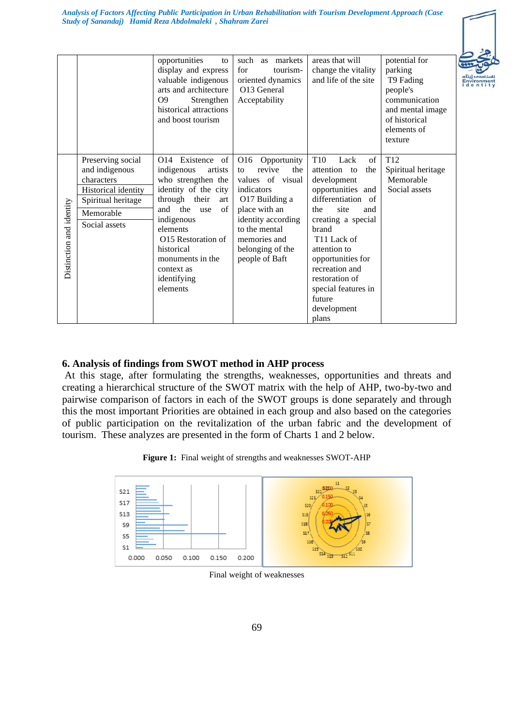|                          |                                                                                                                              | opportunities<br>to<br>display and express<br>valuable indigenous<br>arts and architecture<br>O <sub>9</sub><br>Strengthen<br>historical attractions<br>and boost tourism                                                                                                         | such as markets<br>for<br>tourism-<br>oriented dynamics<br>O13 General<br>Acceptability                                                                                                                     | areas that will<br>change the vitality<br>and life of the site                                                                                                                                                                                                                                                                   | potential for<br>parking<br>T9 Fading<br>people's<br>communication<br>and mental image<br>of historical<br>elements of<br>texture |
|--------------------------|------------------------------------------------------------------------------------------------------------------------------|-----------------------------------------------------------------------------------------------------------------------------------------------------------------------------------------------------------------------------------------------------------------------------------|-------------------------------------------------------------------------------------------------------------------------------------------------------------------------------------------------------------|----------------------------------------------------------------------------------------------------------------------------------------------------------------------------------------------------------------------------------------------------------------------------------------------------------------------------------|-----------------------------------------------------------------------------------------------------------------------------------|
| Distinction and identity | Preserving social<br>and indigenous<br>characters<br>Historical identity<br>Spiritual heritage<br>Memorable<br>Social assets | of<br>O <sub>14</sub> Existence<br>indigenous<br>artists<br>who strengthen the<br>identity of the city<br>through their<br>art<br>and the<br>of<br>use<br>indigenous<br>elements<br>O15 Restoration of<br>historical<br>monuments in the<br>context as<br>identifying<br>elements | O16<br>Opportunity<br>revive<br>the<br>to<br>values of visual<br>indicators<br>O17 Building a<br>place with an<br>identity according<br>to the mental<br>memories and<br>belonging of the<br>people of Baft | T <sub>10</sub><br>of<br>Lack<br>attention to<br>the<br>development<br>opportunities and<br>differentiation of<br>site<br>the<br>and<br>creating a special<br>brand<br>T <sub>11</sub> Lack of<br>attention to<br>opportunities for<br>recreation and<br>restoration of<br>special features in<br>future<br>development<br>plans | T <sub>12</sub><br>Spiritual heritage<br>Memorable<br>Social assets                                                               |

### **6. Analysis of findings from SWOT method in AHP process**

At this stage, after formulating the strengths, weaknesses, opportunities and threats and creating a hierarchical structure of the SWOT matrix with the help of AHP, two-by-two and pairwise comparison of factors in each of the SWOT groups is done separately and through this the most important Priorities are obtained in each group and also based on the categories of public participation on the revitalization of the urban fabric and the development of tourism. These analyzes are presented in the form of Charts 1 and 2 below.





Final weight of weaknesses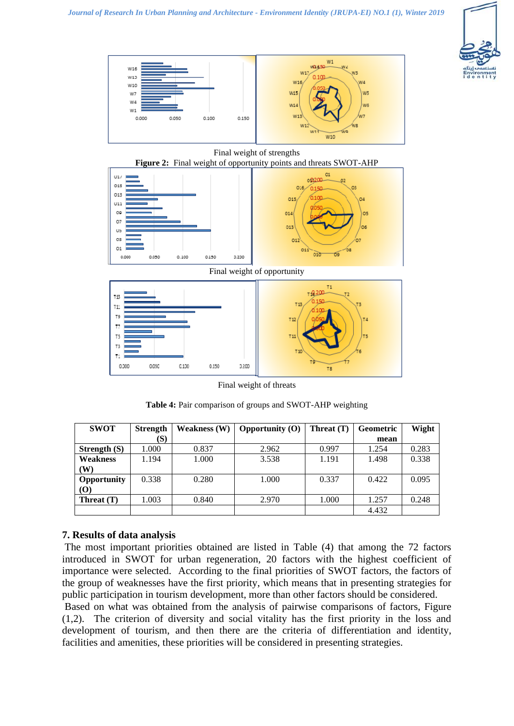







Final weight of threats

**Table 4:** Pair comparison of groups and SWOT-AHP weighting

| <b>SWOT</b>        | <b>Strength</b> | <b>Weakness (W)</b> | Opportunity (O) | Threat (T) | <b>Geometric</b> | Wight |
|--------------------|-----------------|---------------------|-----------------|------------|------------------|-------|
|                    | (S)             |                     |                 |            | mean             |       |
| Strength $(S)$     | 1.000           | 0.837               | 2.962           | 0.997      | 1.254            | 0.283 |
| Weakness           | 1.194           | 1.000               | 3.538           | 1.191      | 1.498            | 0.338 |
| W)                 |                 |                     |                 |            |                  |       |
| <b>Opportunity</b> | 0.338           | 0.280               | 1.000           | 0.337      | 0.422            | 0.095 |
| <b>(O)</b>         |                 |                     |                 |            |                  |       |
| Threat (T)         | 1.003           | 0.840               | 2.970           | 1.000      | 1.257            | 0.248 |
|                    |                 |                     |                 |            | 4.432            |       |

# **7. Results of data analysis**

The most important priorities obtained are listed in Table (4) that among the 72 factors introduced in SWOT for urban regeneration, 20 factors with the highest coefficient of importance were selected. According to the final priorities of SWOT factors, the factors of the group of weaknesses have the first priority, which means that in presenting strategies for public participation in tourism development, more than other factors should be considered.

Based on what was obtained from the analysis of pairwise comparisons of factors, Figure (1,2). The criterion of diversity and social vitality has the first priority in the loss and development of tourism, and then there are the criteria of differentiation and identity, facilities and amenities, these priorities will be considered in presenting strategies.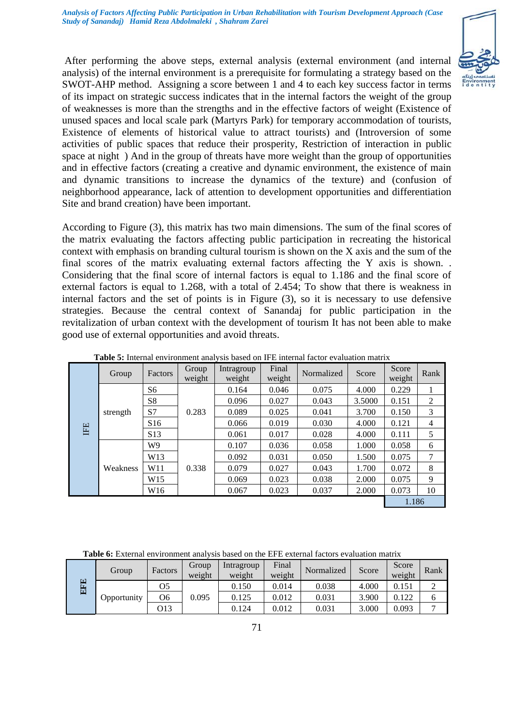

After performing the above steps, external analysis (external environment (and internal analysis) of the internal environment is a prerequisite for formulating a strategy based on the SWOT-AHP method. Assigning a score between 1 and 4 to each key success factor in terms of its impact on strategic success indicates that in the internal factors the weight of the group of weaknesses is more than the strengths and in the effective factors of weight (Existence of unused spaces and local scale park (Martyrs Park) for temporary accommodation of tourists, Existence of elements of historical value to attract tourists) and (Introversion of some activities of public spaces that reduce their prosperity, Restriction of interaction in public space at night ) And in the group of threats have more weight than the group of opportunities and in effective factors (creating a creative and dynamic environment, the existence of main and dynamic transitions to increase the dynamics of the texture) and (confusion of neighborhood appearance, lack of attention to development opportunities and differentiation Site and brand creation) have been important.

According to Figure (3), this matrix has two main dimensions. The sum of the final scores of the matrix evaluating the factors affecting public participation in recreating the historical context with emphasis on branding cultural tourism is shown on the X axis and the sum of the final scores of the matrix evaluating external factors affecting the Y axis is shown. . Considering that the final score of internal factors is equal to 1.186 and the final score of external factors is equal to 1.268, with a total of 2.454; To show that there is weakness in internal factors and the set of points is in Figure (3), so it is necessary to use defensive strategies. Because the central context of Sanandaj for public participation in the revitalization of urban context with the development of tourism It has not been able to make good use of external opportunities and avoid threats.

|           | Group    | <b>Factors</b>  | Group<br>weight | Intragroup<br>weight | Final<br>weight | Normalized | Score  | Score<br>weight | Rank |
|-----------|----------|-----------------|-----------------|----------------------|-----------------|------------|--------|-----------------|------|
|           |          | S <sub>6</sub>  |                 | 0.164                | 0.046           | 0.075      | 4.000  | 0.229           |      |
|           |          | S8              |                 | 0.096                | 0.027           | 0.043      | 3.5000 | 0.151           | 2    |
|           | strength | S7              | 0.283           | 0.089                | 0.025           | 0.041      | 3.700  | 0.150           | 3    |
|           |          | S <sub>16</sub> |                 | 0.066                | 0.019           | 0.030      | 4.000  | 0.121           | 4    |
| <b>FE</b> |          | S <sub>13</sub> |                 | 0.061                | 0.017           | 0.028      | 4.000  | 0.111           | 5    |
|           |          | W9              |                 | 0.107                | 0.036           | 0.058      | 1.000  | 0.058           | 6    |
|           |          | W13             |                 | 0.092                | 0.031           | 0.050      | 1.500  | 0.075           | 7    |
|           | Weakness | W11             | 0.338           | 0.079                | 0.027           | 0.043      | 1.700  | 0.072           | 8    |
|           |          | W <sub>15</sub> |                 | 0.069                | 0.023           | 0.038      | 2.000  | 0.075           | 9    |
|           |          | W16             |                 | 0.067                | 0.023           | 0.037      | 2.000  | 0.073           | 10   |
|           |          |                 |                 |                      |                 |            |        | 1.186           |      |

**Table 5:** Internal environment analysis based on IFE internal factor evaluation matrix

**Table 6:** External environment analysis based on the EFE external factors evaluation matrix

| G) | Group       | Factors | Group<br>weight | Intragroup<br>weight | Final<br>weight | Normalized | Score | Score<br>weight | Rank |
|----|-------------|---------|-----------------|----------------------|-----------------|------------|-------|-----------------|------|
| Œ  |             | O5      |                 | 0.150                | 0.014           | 0.038      | 4.000 | 0.151           |      |
| Ē. | Opportunity | Ο6      | 0.095           | 0.125                | 0.012           | 0.031      | 3.900 | 0.122           |      |
|    |             | О13     |                 | 0.124                | 0.012           | 0.031      | 3.000 | 0.093           |      |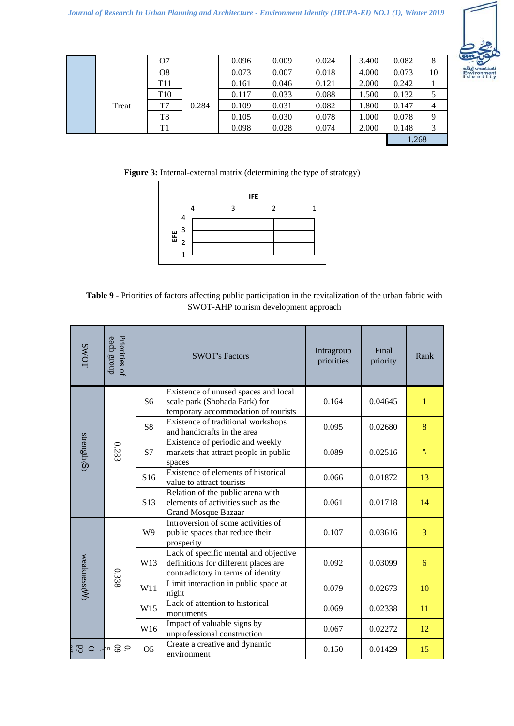

|       | O <sub>7</sub>  |       | 0.096 | 0.009 | 0.024 | 3.400 | 0.082 | 8  |
|-------|-----------------|-------|-------|-------|-------|-------|-------|----|
|       | O8              |       | 0.073 | 0.007 | 0.018 | 4.000 | 0.073 | 10 |
|       | T <sub>11</sub> |       | 0.161 | 0.046 | 0.121 | 2.000 | 0.242 |    |
|       | T <sub>10</sub> |       | 0.117 | 0.033 | 0.088 | 1.500 | 0.132 |    |
| Treat | T7              | 0.284 | 0.109 | 0.031 | 0.082 | 1.800 | 0.147 | 4  |
|       | T8              |       | 0.105 | 0.030 | 0.078 | 1.000 | 0.078 | 9  |
|       | T1              |       | 0.098 | 0.028 | 0.074 | 2.000 | 0.148 |    |
|       |                 |       |       |       |       |       | 1.268 |    |

**Figure 3:** Internal-external matrix (determining the type of strategy)



| Table 9 - Priorities of factors affecting public participation in the revitalization of the urban fabric with |
|---------------------------------------------------------------------------------------------------------------|
| SWOT-AHP tourism development approach                                                                         |

| <b>SWOT</b>   | Priorities of<br>each group | <b>SWOT's Factors</b> |                                                                                                                     | Intragroup<br>priorities | Final<br>priority | Rank         |
|---------------|-----------------------------|-----------------------|---------------------------------------------------------------------------------------------------------------------|--------------------------|-------------------|--------------|
| strength(S)   | 0.283                       | S <sub>6</sub>        | Existence of unused spaces and local<br>scale park (Shohada Park) for<br>temporary accommodation of tourists        | 0.164                    | 0.04645           | $\mathbf{1}$ |
|               |                             | S8                    | Existence of traditional workshops<br>and handicrafts in the area                                                   | 0.095                    | 0.02680           | 8            |
|               |                             | S7                    | Existence of periodic and weekly<br>markets that attract people in public<br>spaces                                 | 0.089                    | 0.02516           | ٩            |
|               |                             | S16                   | Existence of elements of historical<br>value to attract tourists                                                    | 0.066                    | 0.01872           | 13           |
|               |                             | S <sub>13</sub>       | Relation of the public arena with<br>elements of activities such as the<br><b>Grand Mosque Bazaar</b>               | 0.061                    | 0.01718           | 14           |
| weakness(W)   | 0.338                       | W <sub>9</sub>        | Introversion of some activities of<br>public spaces that reduce their<br>prosperity                                 | 0.107                    | 0.03616           | 3            |
|               |                             | W13                   | Lack of specific mental and objective<br>definitions for different places are<br>contradictory in terms of identity | 0.092                    | 0.03099           | 6            |
|               |                             | W11                   | Limit interaction in public space at<br>night                                                                       | 0.079                    | 0.02673           | 10           |
|               |                             | W15                   | Lack of attention to historical<br>monuments                                                                        | 0.069                    | 0.02338           | 11           |
|               |                             | W16                   | Impact of valuable signs by<br>unprofessional construction                                                          | 0.067                    | 0.02272           | 12           |
| Яq<br>$\circ$ | o S v                       | O <sub>5</sub>        | Create a creative and dynamic<br>environment                                                                        | 0.150                    | 0.01429           | 15           |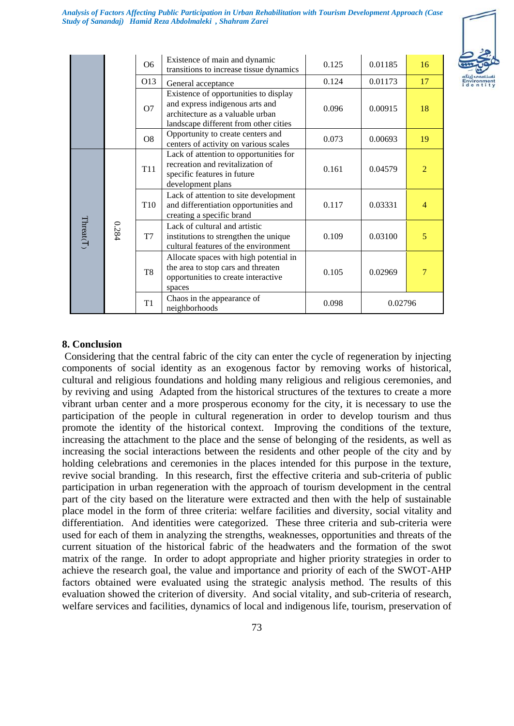

|           |       | O <sub>6</sub>  | Existence of main and dynamic<br>transitions to increase tissue dynamics                                                                              | 0.125 | 0.01185 | 16                       |
|-----------|-------|-----------------|-------------------------------------------------------------------------------------------------------------------------------------------------------|-------|---------|--------------------------|
|           |       | O13             | General acceptance                                                                                                                                    | 0.124 | 0.01173 | 17                       |
|           |       | O7              | Existence of opportunities to display<br>and express indigenous arts and<br>architecture as a valuable urban<br>landscape different from other cities | 0.096 | 0.00915 | 18                       |
|           |       | O <sub>8</sub>  | Opportunity to create centers and<br>centers of activity on various scales                                                                            | 0.073 | 0.00693 | 19                       |
| Threat(T) | 0.284 | T <sub>11</sub> | Lack of attention to opportunities for<br>recreation and revitalization of<br>specific features in future<br>development plans                        | 0.161 | 0.04579 | $\overline{\mathcal{L}}$ |
|           |       | T <sub>10</sub> | Lack of attention to site development<br>and differentiation opportunities and<br>creating a specific brand                                           | 0.117 | 0.03331 | $\overline{4}$           |
|           |       | T7              | Lack of cultural and artistic<br>institutions to strengthen the unique<br>cultural features of the environment                                        | 0.109 | 0.03100 | 5                        |
|           |       | T <sub>8</sub>  | Allocate spaces with high potential in<br>the area to stop cars and threaten<br>opportunities to create interactive<br>spaces                         | 0.105 | 0.02969 | 7                        |
|           |       | T <sub>1</sub>  | Chaos in the appearance of<br>neighborhoods                                                                                                           | 0.098 | 0.02796 |                          |

#### **8. Conclusion**

Considering that the central fabric of the city can enter the cycle of regeneration by injecting components of social identity as an exogenous factor by removing works of historical, cultural and religious foundations and holding many religious and religious ceremonies, and by reviving and using Adapted from the historical structures of the textures to create a more vibrant urban center and a more prosperous economy for the city, it is necessary to use the participation of the people in cultural regeneration in order to develop tourism and thus promote the identity of the historical context. Improving the conditions of the texture, increasing the attachment to the place and the sense of belonging of the residents, as well as increasing the social interactions between the residents and other people of the city and by holding celebrations and ceremonies in the places intended for this purpose in the texture, revive social branding. In this research, first the effective criteria and sub-criteria of public participation in urban regeneration with the approach of tourism development in the central part of the city based on the literature were extracted and then with the help of sustainable place model in the form of three criteria: welfare facilities and diversity, social vitality and differentiation. And identities were categorized. These three criteria and sub-criteria were used for each of them in analyzing the strengths, weaknesses, opportunities and threats of the current situation of the historical fabric of the headwaters and the formation of the swot matrix of the range. In order to adopt appropriate and higher priority strategies in order to achieve the research goal, the value and importance and priority of each of the SWOT-AHP factors obtained were evaluated using the strategic analysis method. The results of this evaluation showed the criterion of diversity. And social vitality, and sub-criteria of research, welfare services and facilities, dynamics of local and indigenous life, tourism, preservation of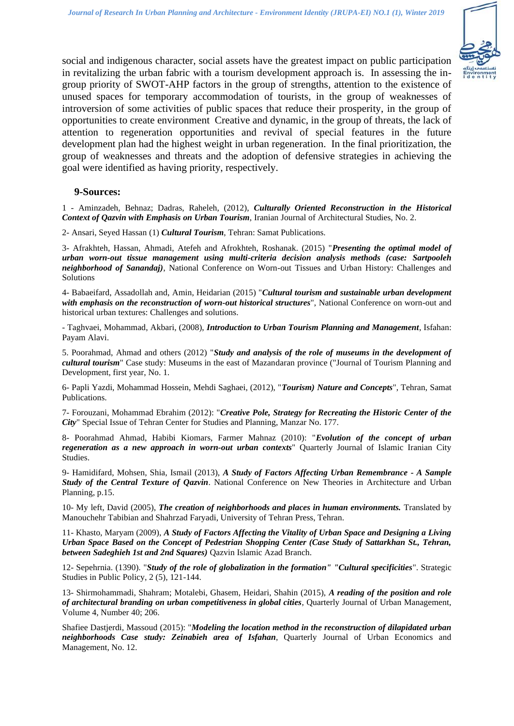

social and indigenous character, social assets have the greatest impact on public participation in revitalizing the urban fabric with a tourism development approach is. In assessing the ingroup priority of SWOT-AHP factors in the group of strengths, attention to the existence of unused spaces for temporary accommodation of tourists, in the group of weaknesses of introversion of some activities of public spaces that reduce their prosperity, in the group of opportunities to create environment Creative and dynamic, in the group of threats, the lack of attention to regeneration opportunities and revival of special features in the future development plan had the highest weight in urban regeneration. In the final prioritization, the group of weaknesses and threats and the adoption of defensive strategies in achieving the goal were identified as having priority, respectively.

#### **9-Sources:**

1 - Aminzadeh, Behnaz; Dadras, Raheleh, (2012), *Culturally Oriented Reconstruction in the Historical Context of Qazvin with Emphasis on Urban Tourism*, Iranian Journal of Architectural Studies, No. 2.

2- Ansari, Seyed Hassan (1) *Cultural Tourism*, Tehran: Samat Publications.

3- Afrakhteh, Hassan, Ahmadi, Atefeh and Afrokhteh, Roshanak. (2015) "*Presenting the optimal model of urban worn-out tissue management using multi-criteria decision analysis methods (case: Sartpooleh neighborhood of Sanandaj)*, National Conference on Worn-out Tissues and Urban History: Challenges and Solutions

4- Babaeifard, Assadollah and, Amin, Heidarian (2015) "*Cultural tourism and sustainable urban development with emphasis on the reconstruction of worn-out historical structures*", National Conference on worn-out and historical urban textures: Challenges and solutions.

- Taghvaei, Mohammad, Akbari, (2008), *Introduction to Urban Tourism Planning and Management*, Isfahan: Payam Alavi.

5. Poorahmad, Ahmad and others (2012) "*Study and analysis of the role of museums in the development of cultural tourism*" Case study: Museums in the east of Mazandaran province ("Journal of Tourism Planning and Development, first year, No. 1.

6- Papli Yazdi, Mohammad Hossein, Mehdi Saghaei, (2012), "*Tourism) Nature and Concepts*", Tehran, Samat Publications.

7- Forouzani, Mohammad Ebrahim (2012): "*Creative Pole, Strategy for Recreating the Historic Center of the City*" Special Issue of Tehran Center for Studies and Planning, Manzar No. 177.

8- Poorahmad Ahmad, Habibi Kiomars, Farmer Mahnaz (2010): "*Evolution of the concept of urban regeneration as a new approach in worn-out urban contexts*" Quarterly Journal of Islamic Iranian City Studies.

9- Hamidifard, Mohsen, Shia, Ismail (2013), *A Study of Factors Affecting Urban Remembrance - A Sample Study of the Central Texture of Qazvin*. National Conference on New Theories in Architecture and Urban Planning, p.15.

10- My left, David (2005), *The creation of neighborhoods and places in human environments.* Translated by Manouchehr Tabibian and Shahrzad Faryadi, University of Tehran Press, Tehran.

11- Khasto, Maryam (2009), *A Study of Factors Affecting the Vitality of Urban Space and Designing a Living Urban Space Based on the Concept of Pedestrian Shopping Center (Case Study of Sattarkhan St., Tehran, between Sadeghieh 1st and 2nd Squares)* Qazvin Islamic Azad Branch.

12- Sepehrnia. (1390). "*Study of the role of globalization in the formation" "Cultural specificities*". Strategic Studies in Public Policy, 2 (5), 121-144.

13- Shirmohammadi, Shahram; Motalebi, Ghasem, Heidari, Shahin (2015), *A reading of the position and role of architectural branding on urban competitiveness in global cities*, Quarterly Journal of Urban Management, Volume 4, Number 40; 206.

Shafiee Dastjerdi, Massoud (2015): "*Modeling the location method in the reconstruction of dilapidated urban neighborhoods Case study: Zeinabieh area of Isfahan*, Quarterly Journal of Urban Economics and Management, No. 12.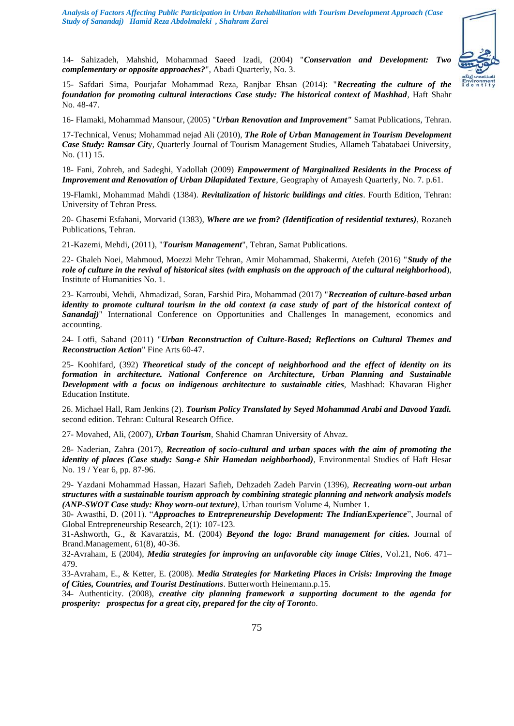

14- Sahizadeh, Mahshid, Mohammad Saeed Izadi, (2004) "*Conservation and Development: Two complementary or opposite approaches?*", Abadi Quarterly, No. 3.

15- Safdari Sima, Pourjafar Mohammad Reza, Ranjbar Ehsan (2014): "*Recreating the culture of the foundation for promoting cultural interactions Case study: The historical context of Mashhad*, Haft Shahr No. 48-47.

16- Flamaki, Mohammad Mansour, (2005) "*Urban Renovation and Improvement"* Samat Publications, Tehran.

17-Technical, Venus; Mohammad nejad Ali (2010), *The Role of Urban Management in Tourism Development Case Study: Ramsar Cit*y, Quarterly Journal of Tourism Management Studies, Allameh Tabatabaei University, No. (11) 15.

18- Fani, Zohreh, and Sadeghi, Yadollah (2009) *Empowerment of Marginalized Residents in the Process of Improvement and Renovation of Urban Dilapidated Texture*, Geography of Amayesh Quarterly, No. 7. p.61.

19-Flamki, Mohammad Mahdi (1384). *Revitalization of historic buildings and cities*. Fourth Edition, Tehran: University of Tehran Press.

20- Ghasemi Esfahani, Morvarid (1383), *Where are we from? (Identification of residential textures)*, Rozaneh Publications, Tehran.

21-Kazemi, Mehdi, (2011), "*Tourism Management*", Tehran, Samat Publications.

22- Ghaleh Noei, Mahmoud, Moezzi Mehr Tehran, Amir Mohammad, Shakermi, Atefeh (2016) "*Study of the role of culture in the revival of historical sites (with emphasis on the approach of the cultural neighborhood*), Institute of Humanities No. 1.

23- Karroubi, Mehdi, Ahmadizad, Soran, Farshid Pira, Mohammad (2017) "*Recreation of culture-based urban identity to promote cultural tourism in the old context (a case study of part of the historical context of Sanandaj)*" International Conference on Opportunities and Challenges In management, economics and accounting.

24- Lotfi, Sahand (2011) "*Urban Reconstruction of Culture-Based; Reflections on Cultural Themes and Reconstruction Action*" Fine Arts 60-47.

25- Koohifard, (392) *Theoretical study of the concept of neighborhood and the effect of identity on its formation in architecture. National Conference on Architecture, Urban Planning and Sustainable Development with a focus on indigenous architecture to sustainable cities*, Mashhad: Khavaran Higher Education Institute.

26. Michael Hall, Ram Jenkins (2). *Tourism Policy Translated by Seyed Mohammad Arabi and Davood Yazdi.* second edition. Tehran: Cultural Research Office.

27- Movahed, Ali, (2007), *Urban Tourism*, Shahid Chamran University of Ahvaz.

28- Naderian, Zahra (2017), *Recreation of socio-cultural and urban spaces with the aim of promoting the identity of places (Case study: Sang-e Shir Hamedan neighborhood)*, Environmental Studies of Haft Hesar No. 19 / Year 6, pp. 87-96.

29- Yazdani Mohammad Hassan, Hazari Safieh, Dehzadeh Zadeh Parvin (1396), *Recreating worn-out urban structures with a sustainable tourism approach by combining strategic planning and network analysis models (ANP-SWOT Case study: Khoy worn-out texture)*, Urban tourism Volume 4, Number 1.

30- Awasthi, D. (2011). "*Approaches to Entrepreneurship Development: The IndianExperience*", Journal of Global Entrepreneurship Research, 2(1): 107-123.

31-Ashworth, G., & Kavaratzis, M. (2004) *Beyond the logo: Brand management for cities.* Journal of Brand.Management, 61(8), 40-36.

32-Avraham, E (2004), *Media strategies for improving an unfavorable city image Cities*, Vol.21, No6. 471– 479.

33-Avraham, E., & Ketter, E. (2008). *Media Strategies for Marketing Places in Crisis: Improving**the Image of Cities, Countries, and Tourist Destinations*. Butterworth Heinemann.p.15.

34- Authenticity. (2008), *creative city planning framework a supporting document to the agenda for prosperity: prospectus for a great city, prepared for the city of Toront*o.